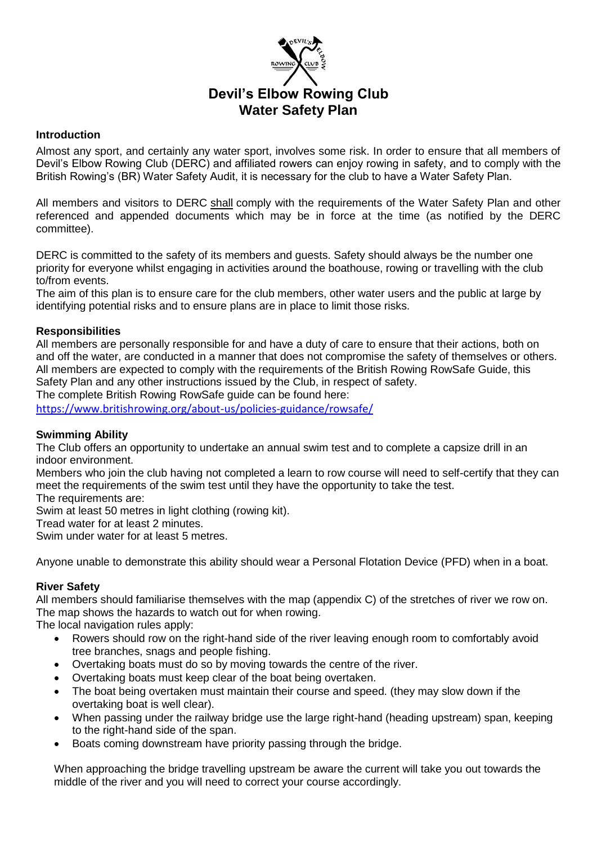

## **Introduction**

Almost any sport, and certainly any water sport, involves some risk. In order to ensure that all members of Devil's Elbow Rowing Club (DERC) and affiliated rowers can enjoy rowing in safety, and to comply with the British Rowing's (BR) Water Safety Audit, it is necessary for the club to have a Water Safety Plan.

All members and visitors to DERC shall comply with the requirements of the Water Safety Plan and other referenced and appended documents which may be in force at the time (as notified by the DERC committee).

DERC is committed to the safety of its members and guests. Safety should always be the number one priority for everyone whilst engaging in activities around the boathouse, rowing or travelling with the club to/from events.

The aim of this plan is to ensure care for the club members, other water users and the public at large by identifying potential risks and to ensure plans are in place to limit those risks.

## **Responsibilities**

All members are personally responsible for and have a duty of care to ensure that their actions, both on and off the water, are conducted in a manner that does not compromise the safety of themselves or others. All members are expected to comply with the requirements of the British Rowing RowSafe Guide, this Safety Plan and any other instructions issued by the Club, in respect of safety.

The complete British Rowing RowSafe guide can be found here:

<https://www.britishrowing.org/about-us/policies-guidance/rowsafe/>

## **Swimming Ability**

The Club offers an opportunity to undertake an annual swim test and to complete a capsize drill in an indoor environment.

Members who join the club having not completed a learn to row course will need to self-certify that they can meet the requirements of the swim test until they have the opportunity to take the test.

The requirements are:

Swim at least 50 metres in light clothing (rowing kit).

Tread water for at least 2 minutes.

Swim under water for at least 5 metres.

Anyone unable to demonstrate this ability should wear a Personal Flotation Device (PFD) when in a boat.

## **River Safety**

All members should familiarise themselves with the map (appendix C) of the stretches of river we row on. The map shows the hazards to watch out for when rowing.

The local navigation rules apply:

- Rowers should row on the right-hand side of the river leaving enough room to comfortably avoid tree branches, snags and people fishing.
- Overtaking boats must do so by moving towards the centre of the river.
- Overtaking boats must keep clear of the boat being overtaken.
- The boat being overtaken must maintain their course and speed. (they may slow down if the overtaking boat is well clear).
- When passing under the railway bridge use the large right-hand (heading upstream) span, keeping to the right-hand side of the span.
- Boats coming downstream have priority passing through the bridge.

When approaching the bridge travelling upstream be aware the current will take you out towards the middle of the river and you will need to correct your course accordingly.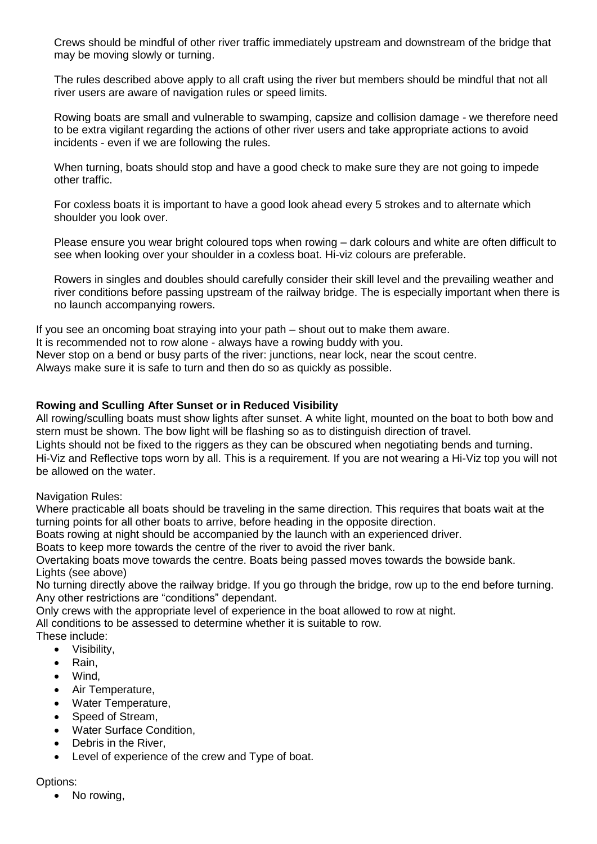Crews should be mindful of other river traffic immediately upstream and downstream of the bridge that may be moving slowly or turning.

The rules described above apply to all craft using the river but members should be mindful that not all river users are aware of navigation rules or speed limits.

Rowing boats are small and vulnerable to swamping, capsize and collision damage - we therefore need to be extra vigilant regarding the actions of other river users and take appropriate actions to avoid incidents - even if we are following the rules.

When turning, boats should stop and have a good check to make sure they are not going to impede other traffic.

For coxless boats it is important to have a good look ahead every 5 strokes and to alternate which shoulder you look over.

Please ensure you wear bright coloured tops when rowing – dark colours and white are often difficult to see when looking over your shoulder in a coxless boat. Hi-viz colours are preferable.

Rowers in singles and doubles should carefully consider their skill level and the prevailing weather and river conditions before passing upstream of the railway bridge. The is especially important when there is no launch accompanying rowers.

If you see an oncoming boat straying into your path – shout out to make them aware. It is recommended not to row alone - always have a rowing buddy with you. Never stop on a bend or busy parts of the river: junctions, near lock, near the scout centre. Always make sure it is safe to turn and then do so as quickly as possible.

## **Rowing and Sculling After Sunset or in Reduced Visibility**

All rowing/sculling boats must show lights after sunset. A white light, mounted on the boat to both bow and stern must be shown. The bow light will be flashing so as to distinguish direction of travel.

Lights should not be fixed to the riggers as they can be obscured when negotiating bends and turning. Hi-Viz and Reflective tops worn by all. This is a requirement. If you are not wearing a Hi-Viz top you will not be allowed on the water.

Navigation Rules:

Where practicable all boats should be traveling in the same direction. This requires that boats wait at the turning points for all other boats to arrive, before heading in the opposite direction.

Boats rowing at night should be accompanied by the launch with an experienced driver.

Boats to keep more towards the centre of the river to avoid the river bank.

Overtaking boats move towards the centre. Boats being passed moves towards the bowside bank. Lights (see above)

No turning directly above the railway bridge. If you go through the bridge, row up to the end before turning. Any other restrictions are "conditions" dependant.

Only crews with the appropriate level of experience in the boat allowed to row at night.

All conditions to be assessed to determine whether it is suitable to row.

- These include:
	- Visibility,
	- Rain,
	- Wind,
	- Air Temperature,
	- Water Temperature,
	- Speed of Stream.
	- Water Surface Condition.
	- Debris in the River,
	- Level of experience of the crew and Type of boat.

## Options:

No rowing,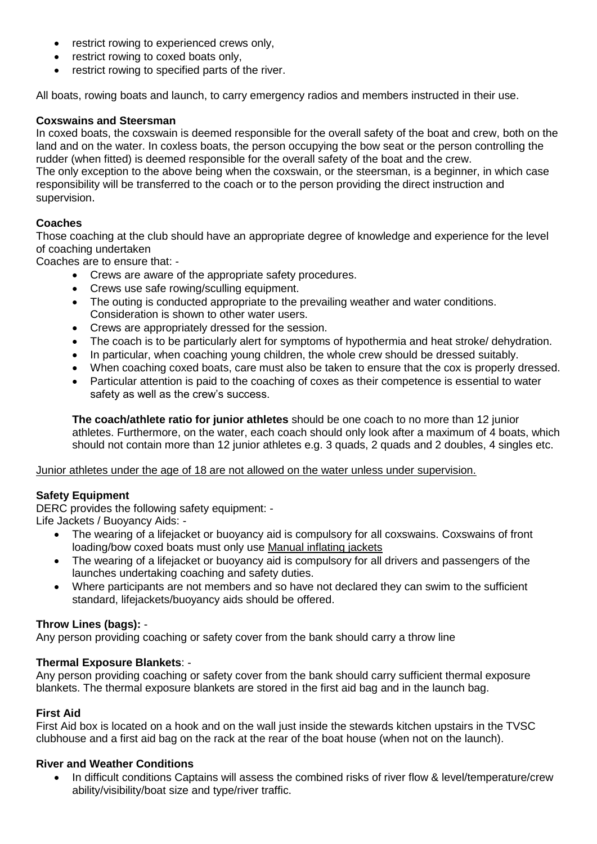- restrict rowing to experienced crews only,
- restrict rowing to coxed boats only,
- restrict rowing to specified parts of the river.

All boats, rowing boats and launch, to carry emergency radios and members instructed in their use.

## **Coxswains and Steersman**

In coxed boats, the coxswain is deemed responsible for the overall safety of the boat and crew, both on the land and on the water. In coxless boats, the person occupying the bow seat or the person controlling the rudder (when fitted) is deemed responsible for the overall safety of the boat and the crew. The only exception to the above being when the coxswain, or the steersman, is a beginner, in which case responsibility will be transferred to the coach or to the person providing the direct instruction and supervision.

## **Coaches**

Those coaching at the club should have an appropriate degree of knowledge and experience for the level of coaching undertaken

Coaches are to ensure that: -

- Crews are aware of the appropriate safety procedures.
- Crews use safe rowing/sculling equipment.
- The outing is conducted appropriate to the prevailing weather and water conditions. Consideration is shown to other water users.
- Crews are appropriately dressed for the session.
- The coach is to be particularly alert for symptoms of hypothermia and heat stroke/ dehydration.
- In particular, when coaching young children, the whole crew should be dressed suitably.
- When coaching coxed boats, care must also be taken to ensure that the cox is properly dressed.
- Particular attention is paid to the coaching of coxes as their competence is essential to water safety as well as the crew's success.

**The coach/athlete ratio for junior athletes** should be one coach to no more than 12 junior athletes. Furthermore, on the water, each coach should only look after a maximum of 4 boats, which should not contain more than 12 junior athletes e.g. 3 quads, 2 quads and 2 doubles, 4 singles etc.

#### Junior athletes under the age of 18 are not allowed on the water unless under supervision.

## **Safety Equipment**

DERC provides the following safety equipment: - Life Jackets / Buoyancy Aids: -

- The wearing of a lifejacket or buoyancy aid is compulsory for all coxswains. Coxswains of front loading/bow coxed boats must only use Manual inflating jackets
- The wearing of a lifejacket or buoyancy aid is compulsory for all drivers and passengers of the launches undertaking coaching and safety duties.
- Where participants are not members and so have not declared they can swim to the sufficient standard, lifejackets/buoyancy aids should be offered.

## **Throw Lines (bags):** -

Any person providing coaching or safety cover from the bank should carry a throw line

## **Thermal Exposure Blankets**: -

Any person providing coaching or safety cover from the bank should carry sufficient thermal exposure blankets. The thermal exposure blankets are stored in the first aid bag and in the launch bag.

## **First Aid**

First Aid box is located on a hook and on the wall just inside the stewards kitchen upstairs in the TVSC clubhouse and a first aid bag on the rack at the rear of the boat house (when not on the launch).

## **River and Weather Conditions**

 In difficult conditions Captains will assess the combined risks of river flow & level/temperature/crew ability/visibility/boat size and type/river traffic.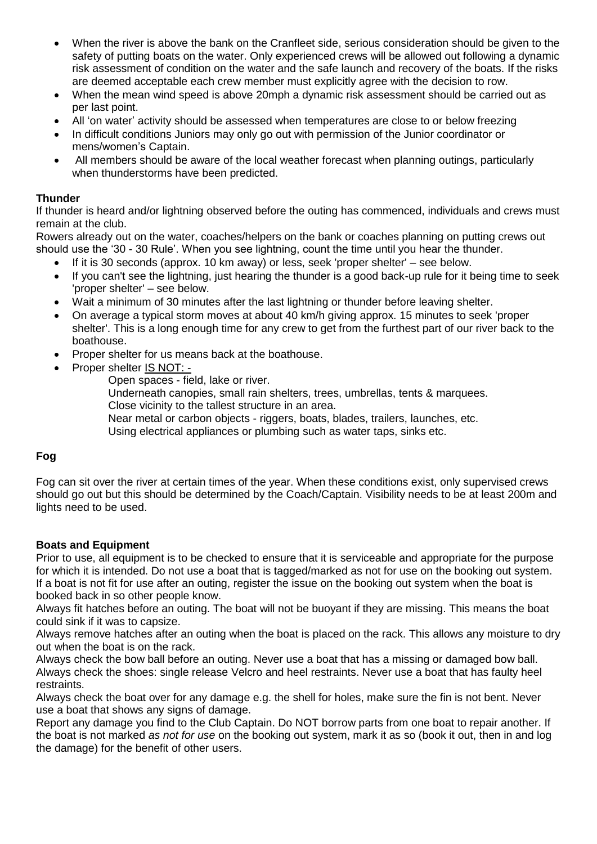- When the river is above the bank on the Cranfleet side, serious consideration should be given to the safety of putting boats on the water. Only experienced crews will be allowed out following a dynamic risk assessment of condition on the water and the safe launch and recovery of the boats. If the risks are deemed acceptable each crew member must explicitly agree with the decision to row.
- When the mean wind speed is above 20mph a dynamic risk assessment should be carried out as per last point.
- All 'on water' activity should be assessed when temperatures are close to or below freezing
- In difficult conditions Juniors may only go out with permission of the Junior coordinator or mens/women's Captain.
- All members should be aware of the local weather forecast when planning outings, particularly when thunderstorms have been predicted.

## **Thunder**

If thunder is heard and/or lightning observed before the outing has commenced, individuals and crews must remain at the club.

Rowers already out on the water, coaches/helpers on the bank or coaches planning on putting crews out should use the '30 - 30 Rule'. When you see lightning, count the time until you hear the thunder.

- If it is 30 seconds (approx. 10 km away) or less, seek 'proper shelter' see below.
- If you can't see the lightning, just hearing the thunder is a good back-up rule for it being time to seek 'proper shelter' – see below.
- Wait a minimum of 30 minutes after the last lightning or thunder before leaving shelter.
- On average a typical storm moves at about 40 km/h giving approx. 15 minutes to seek 'proper shelter'. This is a long enough time for any crew to get from the furthest part of our river back to the boathouse.
- Proper shelter for us means back at the boathouse.
- Proper shelter IS NOT:
	- Open spaces field, lake or river.
		- Underneath canopies, small rain shelters, trees, umbrellas, tents & marquees. Close vicinity to the tallest structure in an area.
		- Near metal or carbon objects riggers, boats, blades, trailers, launches, etc.
		- Using electrical appliances or plumbing such as water taps, sinks etc.

## **Fog**

Fog can sit over the river at certain times of the year. When these conditions exist, only supervised crews should go out but this should be determined by the Coach/Captain. Visibility needs to be at least 200m and lights need to be used.

## **Boats and Equipment**

Prior to use, all equipment is to be checked to ensure that it is serviceable and appropriate for the purpose for which it is intended. Do not use a boat that is tagged/marked as not for use on the booking out system. If a boat is not fit for use after an outing, register the issue on the booking out system when the boat is booked back in so other people know.

Always fit hatches before an outing. The boat will not be buoyant if they are missing. This means the boat could sink if it was to capsize.

Always remove hatches after an outing when the boat is placed on the rack. This allows any moisture to dry out when the boat is on the rack.

Always check the bow ball before an outing. Never use a boat that has a missing or damaged bow ball. Always check the shoes: single release Velcro and heel restraints. Never use a boat that has faulty heel restraints.

Always check the boat over for any damage e.g. the shell for holes, make sure the fin is not bent. Never use a boat that shows any signs of damage.

Report any damage you find to the Club Captain. Do NOT borrow parts from one boat to repair another. If the boat is not marked *as not for use* on the booking out system, mark it as so (book it out, then in and log the damage) for the benefit of other users.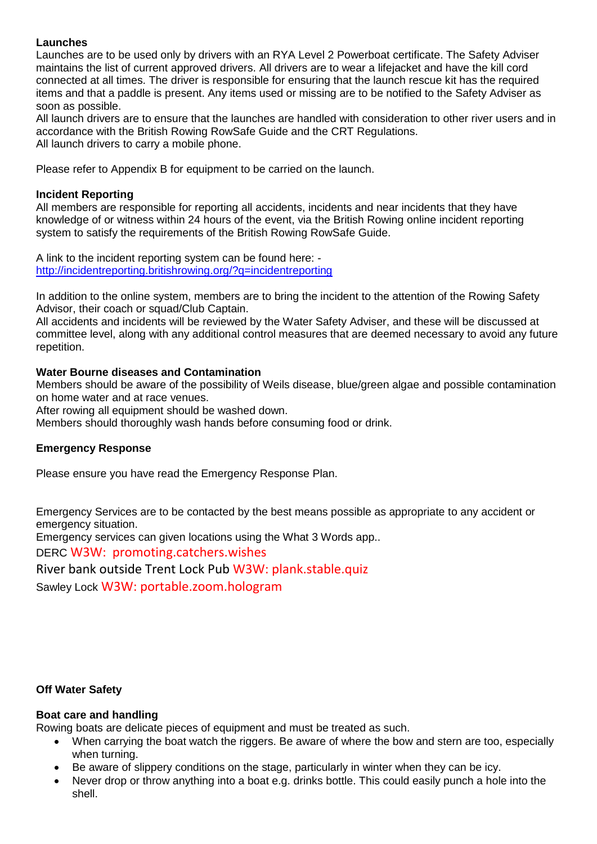## **Launches**

Launches are to be used only by drivers with an RYA Level 2 Powerboat certificate. The Safety Adviser maintains the list of current approved drivers. All drivers are to wear a lifejacket and have the kill cord connected at all times. The driver is responsible for ensuring that the launch rescue kit has the required items and that a paddle is present. Any items used or missing are to be notified to the Safety Adviser as soon as possible.

All launch drivers are to ensure that the launches are handled with consideration to other river users and in accordance with the British Rowing RowSafe Guide and the CRT Regulations. All launch drivers to carry a mobile phone.

Please refer to Appendix B for equipment to be carried on the launch.

## **Incident Reporting**

All members are responsible for reporting all accidents, incidents and near incidents that they have knowledge of or witness within 24 hours of the event, via the British Rowing online incident reporting system to satisfy the requirements of the British Rowing RowSafe Guide.

A link to the incident reporting system can be found here: [http://incidentreporting.britishrowing.org/?q=incidentreporting](http://incidentreporting.britishrowing.org/?q=incidentreporting%20)

In addition to the online system, members are to bring the incident to the attention of the Rowing Safety Advisor, their coach or squad/Club Captain.

All accidents and incidents will be reviewed by the Water Safety Adviser, and these will be discussed at committee level, along with any additional control measures that are deemed necessary to avoid any future repetition.

## **Water Bourne diseases and Contamination**

Members should be aware of the possibility of Weils disease, blue/green algae and possible contamination on home water and at race venues.

After rowing all equipment should be washed down.

Members should thoroughly wash hands before consuming food or drink.

## **Emergency Response**

Please ensure you have read the Emergency Response Plan.

Emergency Services are to be contacted by the best means possible as appropriate to any accident or emergency situation.

Emergency services can given locations using the What 3 Words app..

DERC W3W: promoting.catchers.wishes

River bank outside Trent Lock Pub W3W: plank.stable.quiz Sawley Lock W3W: portable.zoom.hologram

## **Off Water Safety**

## **Boat care and handling**

Rowing boats are delicate pieces of equipment and must be treated as such.

- When carrying the boat watch the riggers. Be aware of where the bow and stern are too, especially when turning.
- Be aware of slippery conditions on the stage, particularly in winter when they can be icy.
- Never drop or throw anything into a boat e.g. drinks bottle. This could easily punch a hole into the shell.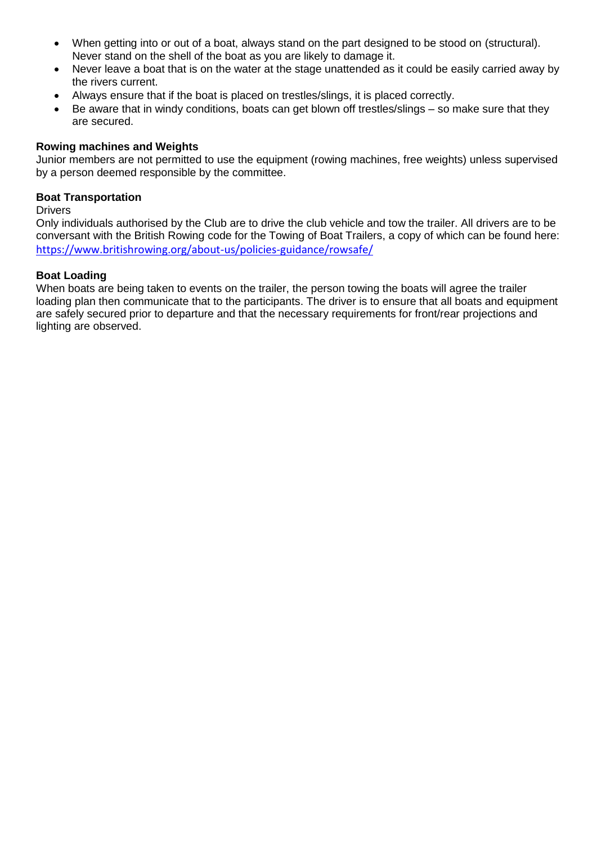- When getting into or out of a boat, always stand on the part designed to be stood on (structural). Never stand on the shell of the boat as you are likely to damage it.
- Never leave a boat that is on the water at the stage unattended as it could be easily carried away by the rivers current.
- Always ensure that if the boat is placed on trestles/slings, it is placed correctly.
- Be aware that in windy conditions, boats can get blown off trestles/slings so make sure that they are secured.

## **Rowing machines and Weights**

Junior members are not permitted to use the equipment (rowing machines, free weights) unless supervised by a person deemed responsible by the committee.

## **Boat Transportation**

**Drivers** 

Only individuals authorised by the Club are to drive the club vehicle and tow the trailer. All drivers are to be conversant with the British Rowing code for the Towing of Boat Trailers, a copy of which can be found here: <https://www.britishrowing.org/about-us/policies-guidance/rowsafe/>

## **Boat Loading**

When boats are being taken to events on the trailer, the person towing the boats will agree the trailer loading plan then communicate that to the participants. The driver is to ensure that all boats and equipment are safely secured prior to departure and that the necessary requirements for front/rear projections and lighting are observed.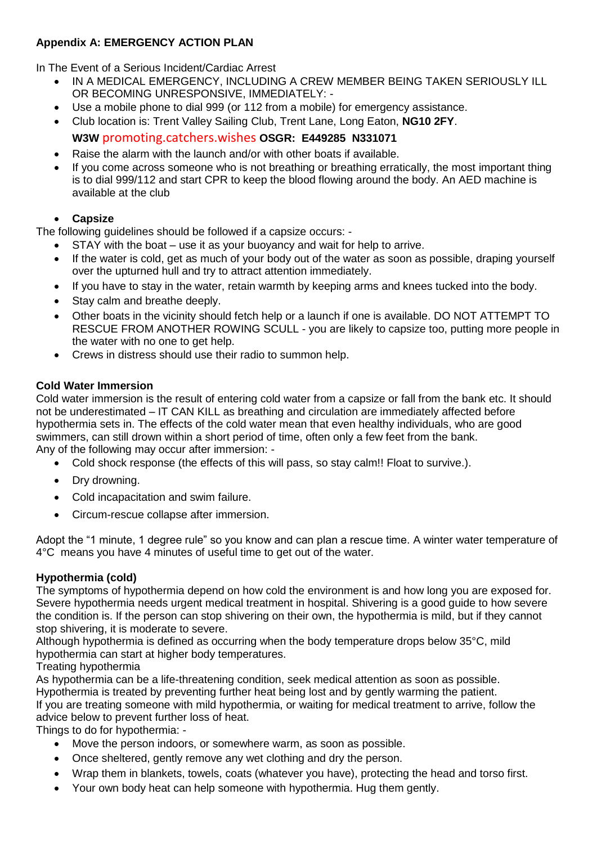## **Appendix A: EMERGENCY ACTION PLAN**

In The Event of a Serious Incident/Cardiac Arrest

- IN A MEDICAL EMERGENCY, INCLUDING A CREW MEMBER BEING TAKEN SERIOUSLY ILL OR BECOMING UNRESPONSIVE, IMMEDIATELY: -
- Use a mobile phone to dial 999 (or 112 from a mobile) for emergency assistance.
- Club location is: Trent Valley Sailing Club, Trent Lane, Long Eaton, **NG10 2FY**.

## **W3W** promoting.catchers.wishes **OSGR: E449285 N331071**

- Raise the alarm with the launch and/or with other boats if available.
- If you come across someone who is not breathing or breathing erratically, the most important thing is to dial 999/112 and start CPR to keep the blood flowing around the body. An AED machine is available at the club

## **Capsize**

The following guidelines should be followed if a capsize occurs: -

- STAY with the boat use it as your buoyancy and wait for help to arrive.
- If the water is cold, get as much of your body out of the water as soon as possible, draping yourself over the upturned hull and try to attract attention immediately.
- If you have to stay in the water, retain warmth by keeping arms and knees tucked into the body.
- Stay calm and breathe deeply.
- Other boats in the vicinity should fetch help or a launch if one is available. DO NOT ATTEMPT TO RESCUE FROM ANOTHER ROWING SCULL - you are likely to capsize too, putting more people in the water with no one to get help.
- Crews in distress should use their radio to summon help.

## **Cold Water Immersion**

Cold water immersion is the result of entering cold water from a capsize or fall from the bank etc. It should not be underestimated – IT CAN KILL as breathing and circulation are immediately affected before hypothermia sets in. The effects of the cold water mean that even healthy individuals, who are good swimmers, can still drown within a short period of time, often only a few feet from the bank. Any of the following may occur after immersion: -

- Cold shock response (the effects of this will pass, so stay calm!! Float to survive.).
- Dry drowning.
- Cold incapacitation and swim failure.
- Circum-rescue collapse after immersion.

Adopt the "1 minute, 1 degree rule" so you know and can plan a rescue time. A winter water temperature of 4°C means you have 4 minutes of useful time to get out of the water.

## **Hypothermia (cold)**

The symptoms of hypothermia depend on how cold the environment is and how long you are exposed for. Severe hypothermia needs urgent medical treatment in hospital. Shivering is a good guide to how severe the condition is. If the person can stop shivering on their own, the hypothermia is mild, but if they cannot stop shivering, it is moderate to severe.

Although hypothermia is defined as occurring when the body temperature drops below 35°C, mild hypothermia can start at higher body temperatures.

Treating hypothermia

As hypothermia can be a life-threatening condition, seek medical attention as soon as possible. Hypothermia is treated by preventing further heat being lost and by gently warming the patient. If you are treating someone with mild hypothermia, or waiting for medical treatment to arrive, follow the advice below to prevent further loss of heat.

Things to do for hypothermia: -

- Move the person indoors, or somewhere warm, as soon as possible.
- Once sheltered, gently remove any wet clothing and dry the person.
- Wrap them in blankets, towels, coats (whatever you have), protecting the head and torso first.
- Your own body heat can help someone with hypothermia. Hug them gently.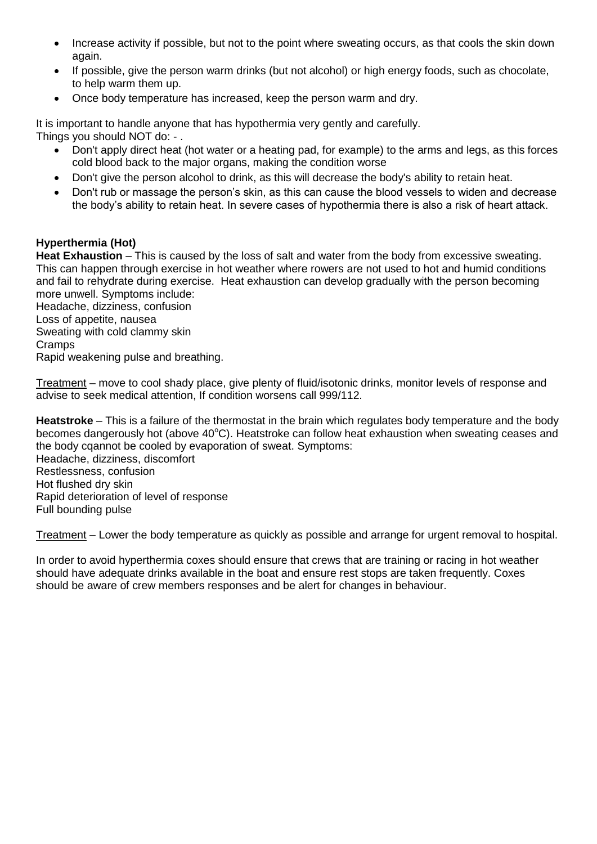- Increase activity if possible, but not to the point where sweating occurs, as that cools the skin down again.
- If possible, give the person warm drinks (but not alcohol) or high energy foods, such as chocolate, to help warm them up.
- Once body temperature has increased, keep the person warm and dry.

It is important to handle anyone that has hypothermia very gently and carefully. Things you should NOT do: - .

- Don't apply direct heat (hot water or a heating pad, for example) to the arms and legs, as this forces cold blood back to the major organs, making the condition worse
- Don't give the person alcohol to drink, as this will decrease the body's ability to retain heat.
- Don't rub or massage the person's skin, as this can cause the blood vessels to widen and decrease the body's ability to retain heat. In severe cases of hypothermia there is also a risk of heart attack.

## **Hyperthermia (Hot)**

**Heat Exhaustion** – This is caused by the loss of salt and water from the body from excessive sweating. This can happen through exercise in hot weather where rowers are not used to hot and humid conditions and fail to rehydrate during exercise. Heat exhaustion can develop gradually with the person becoming more unwell. Symptoms include:

Headache, dizziness, confusion Loss of appetite, nausea Sweating with cold clammy skin Cramps Rapid weakening pulse and breathing.

Treatment – move to cool shady place, give plenty of fluid/isotonic drinks, monitor levels of response and advise to seek medical attention, If condition worsens call 999/112.

**Heatstroke** – This is a failure of the thermostat in the brain which regulates body temperature and the body becomes dangerously hot (above  $40^{\circ}$ C). Heatstroke can follow heat exhaustion when sweating ceases and the body cqannot be cooled by evaporation of sweat. Symptoms: Headache, dizziness, discomfort Restlessness, confusion Hot flushed dry skin Rapid deterioration of level of response Full bounding pulse

Treatment – Lower the body temperature as quickly as possible and arrange for urgent removal to hospital.

In order to avoid hyperthermia coxes should ensure that crews that are training or racing in hot weather should have adequate drinks available in the boat and ensure rest stops are taken frequently. Coxes should be aware of crew members responses and be alert for changes in behaviour.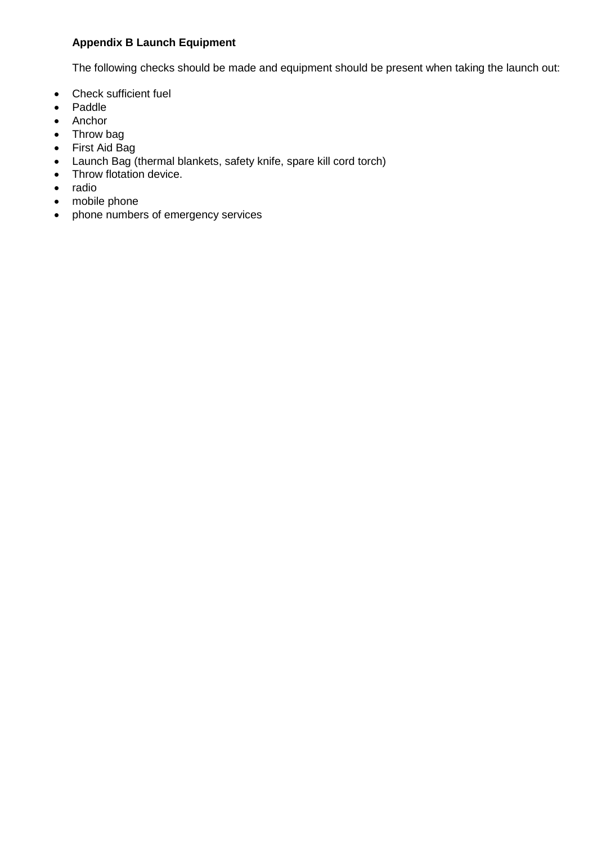## **Appendix B Launch Equipment**

The following checks should be made and equipment should be present when taking the launch out:

- Check sufficient fuel
- Paddle
- Anchor
- Throw bag
- First Aid Bag
- Launch Bag (thermal blankets, safety knife, spare kill cord torch)
- Throw flotation device.
- radio
- mobile phone
- phone numbers of emergency services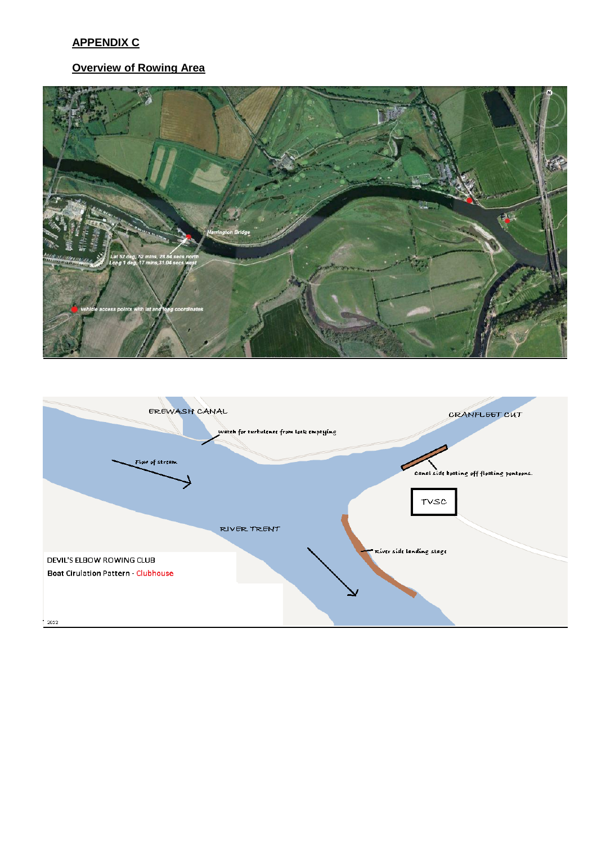# **APPENDIX C**

## **Overview of Rowing Area**



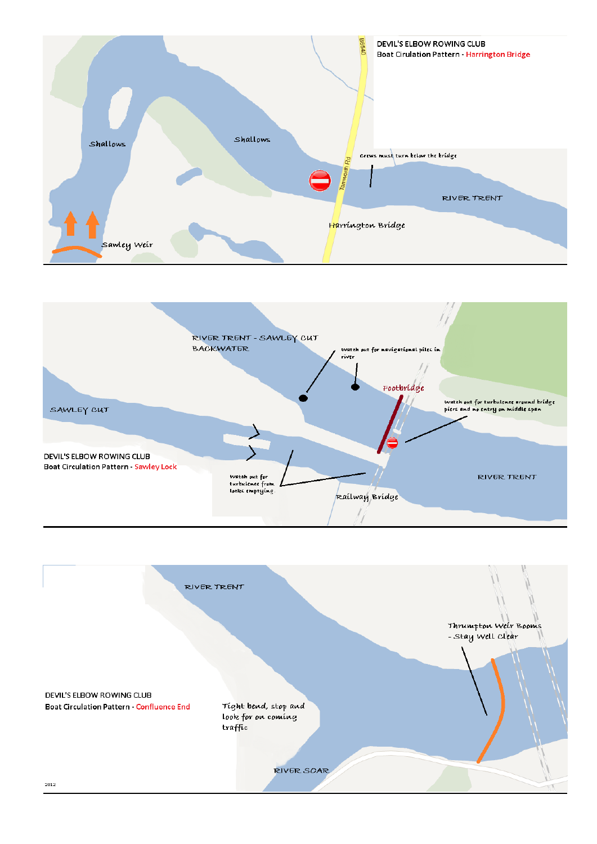